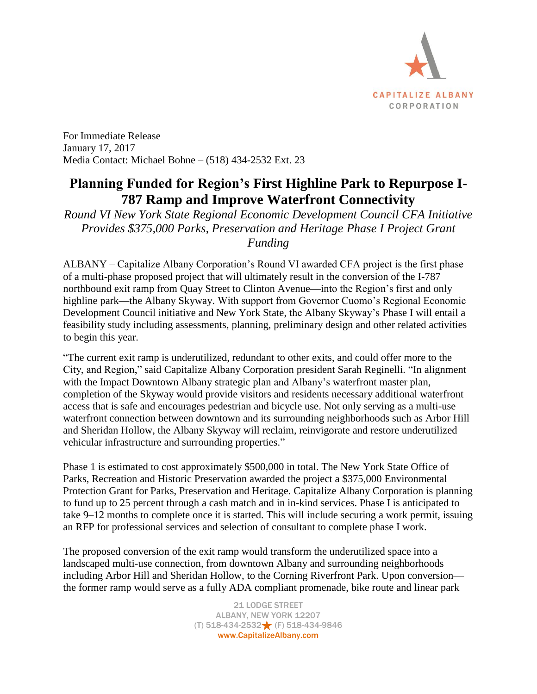

For Immediate Release January 17, 2017 Media Contact: Michael Bohne – (518) 434-2532 Ext. 23

## **Planning Funded for Region's First Highline Park to Repurpose I-787 Ramp and Improve Waterfront Connectivity**

*Round VI New York State Regional Economic Development Council CFA Initiative Provides \$375,000 Parks, Preservation and Heritage Phase I Project Grant Funding* 

ALBANY – Capitalize Albany Corporation's Round VI awarded CFA project is the first phase of a multi-phase proposed project that will ultimately result in the conversion of the I-787 northbound exit ramp from Quay Street to Clinton Avenue—into the Region's first and only highline park—the Albany Skyway. With support from Governor Cuomo's Regional Economic Development Council initiative and New York State, the Albany Skyway's Phase I will entail a feasibility study including assessments, planning, preliminary design and other related activities to begin this year.

"The current exit ramp is underutilized, redundant to other exits, and could offer more to the City, and Region," said Capitalize Albany Corporation president Sarah Reginelli. "In alignment with the Impact Downtown Albany strategic plan and Albany's waterfront master plan, completion of the Skyway would provide visitors and residents necessary additional waterfront access that is safe and encourages pedestrian and bicycle use. Not only serving as a multi-use waterfront connection between downtown and its surrounding neighborhoods such as Arbor Hill and Sheridan Hollow, the Albany Skyway will reclaim, reinvigorate and restore underutilized vehicular infrastructure and surrounding properties."

Phase 1 is estimated to cost approximately \$500,000 in total. The New York State Office of Parks, Recreation and Historic Preservation awarded the project a \$375,000 Environmental Protection Grant for Parks, Preservation and Heritage. Capitalize Albany Corporation is planning to fund up to 25 percent through a cash match and in in-kind services. Phase I is anticipated to take 9–12 months to complete once it is started. This will include securing a work permit, issuing an RFP for professional services and selection of consultant to complete phase I work.

The proposed conversion of the exit ramp would transform the underutilized space into a landscaped multi-use connection, from downtown Albany and surrounding neighborhoods including Arbor Hill and Sheridan Hollow, to the Corning Riverfront Park. Upon conversion the former ramp would serve as a fully ADA compliant promenade, bike route and linear park

> 21 LODGE STREET ALBANY, NEW YORK 12207 (T) 518-434-2532 (F) 518-434-9846 www.CapitalizeAlbany.com